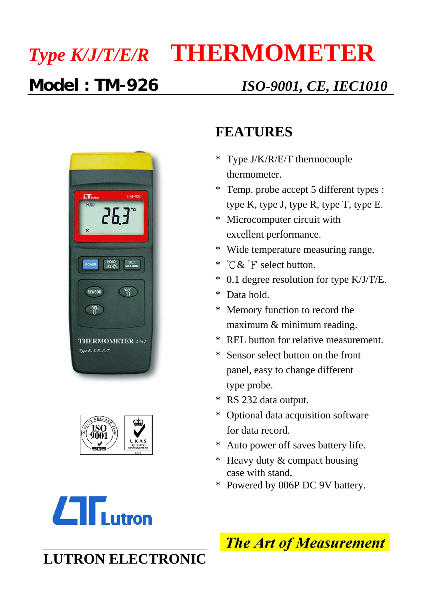# *Type K/J/T/E/R* **THERMOMETER**

### **Model : TM-926** *ISO-9001, CE, IEC1010*







#### **FEATURES**

- \* Type J/K/R/E/T thermocouple thermometer.
- \* Temp. probe accept 5 different types : type K, type J, type R, type T, type E.
- \* Microcomputer circuit with excellent performance.
- \* Wide temperature measuring range.
- \* °C & °F select button.
- \* 0.1 degree resolution for type K/J/T/E.
- \* Data hold.
- \* Memory function to record the maximum & minimum reading.
- \* REL button for relative measurement.
- \* Sensor select button on the front panel, easy to change different type probe.
- \* RS 232 data output.
- \* Optional data acquisition software for data record.
- Auto power off saves battery life.
- \* Heavy duty & compact housing case with stand.
- \* Powered by 006P DC 9V battery.

**The Art of Measurement** 

## **LUTRON ELECTRONIC**